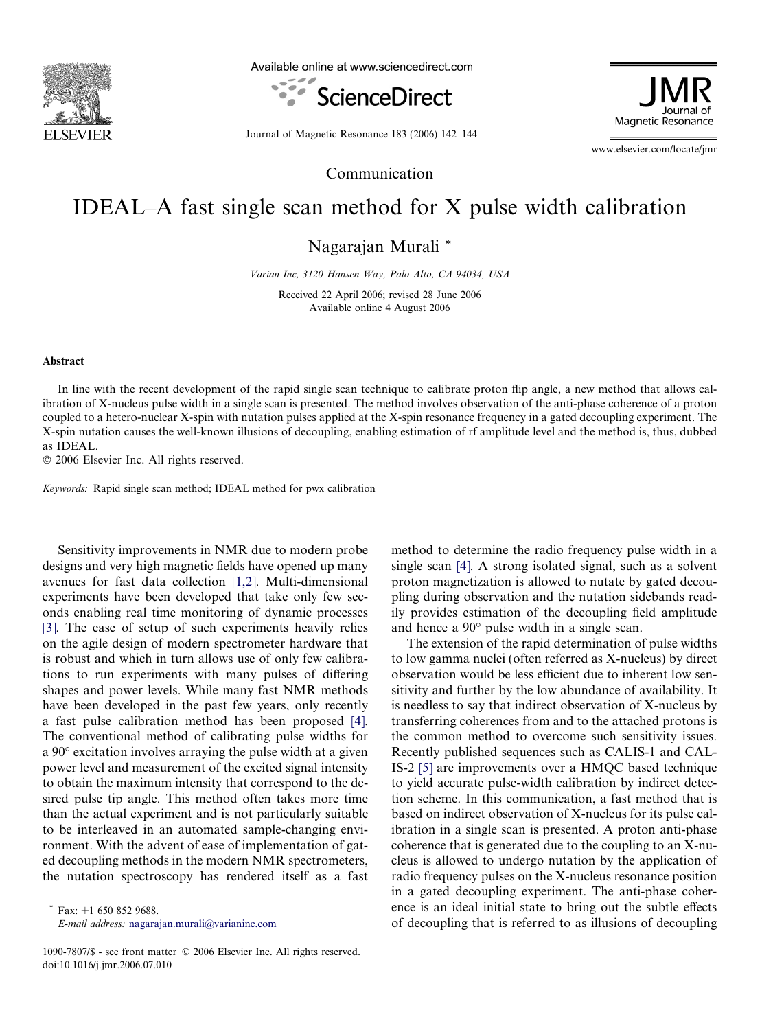

Available online at www.sciencedirect.com





Journal of Magnetic Resonance 183 (2006) 142–144

www.elsevier.com/locate/jmr

## Communication

## IDEAL–A fast single scan method for X pulse width calibration

Nagarajan Murali \*

Varian Inc, 3120 Hansen Way, Palo Alto, CA 94034, USA

Received 22 April 2006; revised 28 June 2006 Available online 4 August 2006

## Abstract

In line with the recent development of the rapid single scan technique to calibrate proton flip angle, a new method that allows calibration of X-nucleus pulse width in a single scan is presented. The method involves observation of the anti-phase coherence of a proton coupled to a hetero-nuclear X-spin with nutation pulses applied at the X-spin resonance frequency in a gated decoupling experiment. The X-spin nutation causes the well-known illusions of decoupling, enabling estimation of rf amplitude level and the method is, thus, dubbed as IDEAL.

© 2006 Elsevier Inc. All rights reserved.

Keywords: Rapid single scan method; IDEAL method for pwx calibration

Sensitivity improvements in NMR due to modern probe designs and very high magnetic fields have opened up many avenues for fast data collection [\[1,2\]](#page-2-0). Multi-dimensional experiments have been developed that take only few seconds enabling real time monitoring of dynamic processes [\[3\]](#page-2-0). The ease of setup of such experiments heavily relies on the agile design of modern spectrometer hardware that is robust and which in turn allows use of only few calibrations to run experiments with many pulses of differing shapes and power levels. While many fast NMR methods have been developed in the past few years, only recently a fast pulse calibration method has been proposed [\[4\]](#page-2-0). The conventional method of calibrating pulse widths for a  $90^\circ$  excitation involves arraying the pulse width at a given power level and measurement of the excited signal intensity to obtain the maximum intensity that correspond to the desired pulse tip angle. This method often takes more time than the actual experiment and is not particularly suitable to be interleaved in an automated sample-changing environment. With the advent of ease of implementation of gated decoupling methods in the modern NMR spectrometers, the nutation spectroscopy has rendered itself as a fast

Fax:  $+1$  650 852 9688. E-mail address: [nagarajan.murali@varianinc.com](mailto:nagarajan.murali@varianinc.com)

1090-7807/\$ - see front matter © 2006 Elsevier Inc. All rights reserved. doi:10.1016/j.jmr.2006.07.010

method to determine the radio frequency pulse width in a single scan [\[4\]](#page-2-0). A strong isolated signal, such as a solvent proton magnetization is allowed to nutate by gated decoupling during observation and the nutation sidebands readily provides estimation of the decoupling field amplitude and hence a  $90^{\circ}$  pulse width in a single scan.

The extension of the rapid determination of pulse widths to low gamma nuclei (often referred as X-nucleus) by direct observation would be less efficient due to inherent low sensitivity and further by the low abundance of availability. It is needless to say that indirect observation of X-nucleus by transferring coherences from and to the attached protons is the common method to overcome such sensitivity issues. Recently published sequences such as CALIS-1 and CAL-IS-2 [\[5\]](#page-2-0) are improvements over a HMQC based technique to yield accurate pulse-width calibration by indirect detection scheme. In this communication, a fast method that is based on indirect observation of X-nucleus for its pulse calibration in a single scan is presented. A proton anti-phase coherence that is generated due to the coupling to an X-nucleus is allowed to undergo nutation by the application of radio frequency pulses on the X-nucleus resonance position in a gated decoupling experiment. The anti-phase coherence is an ideal initial state to bring out the subtle effects of decoupling that is referred to as illusions of decoupling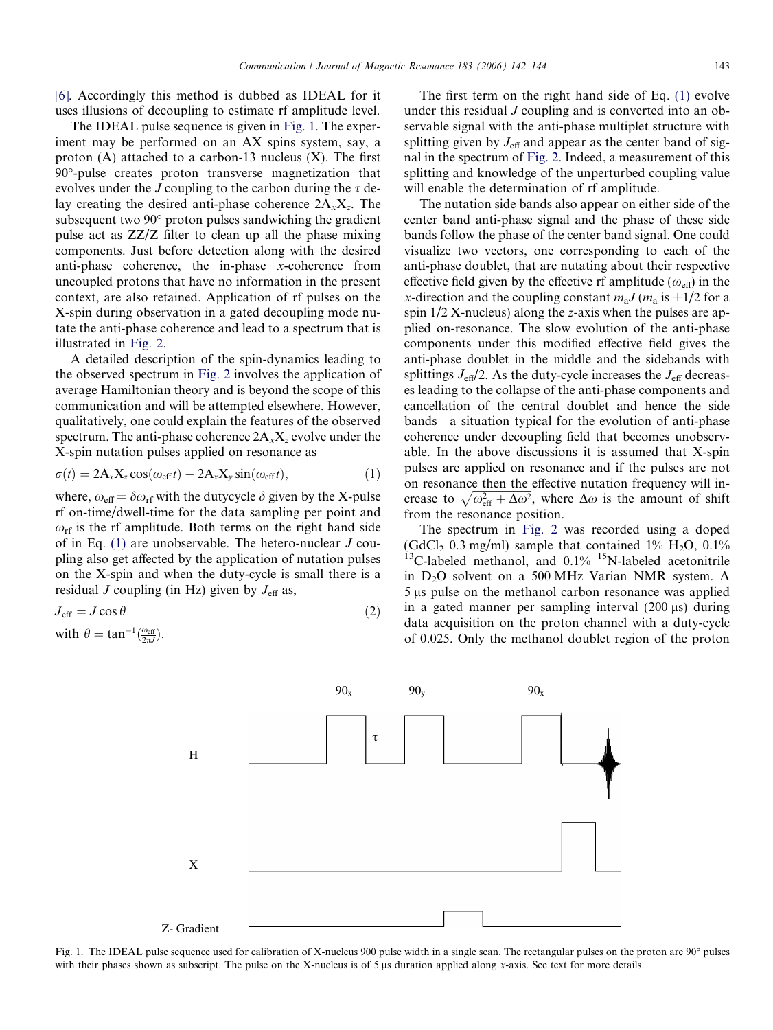<span id="page-1-0"></span>[\[6\].](#page-2-0) Accordingly this method is dubbed as IDEAL for it uses illusions of decoupling to estimate rf amplitude level.

The IDEAL pulse sequence is given in Fig. 1. The experiment may be performed on an AX spins system, say, a proton  $(A)$  attached to a carbon-13 nucleus  $(X)$ . The first 90-pulse creates proton transverse magnetization that evolves under the J coupling to the carbon during the  $\tau$  delay creating the desired anti-phase coherence  $2A<sub>x</sub>X<sub>z</sub>$ . The subsequent two  $90^{\circ}$  proton pulses sandwiching the gradient pulse act as ZZ/Z filter to clean up all the phase mixing components. Just before detection along with the desired anti-phase coherence, the in-phase x-coherence from uncoupled protons that have no information in the present context, are also retained. Application of rf pulses on the X-spin during observation in a gated decoupling mode nutate the anti-phase coherence and lead to a spectrum that is illustrated in [Fig. 2.](#page-2-0)

A detailed description of the spin-dynamics leading to the observed spectrum in [Fig. 2](#page-2-0) involves the application of average Hamiltonian theory and is beyond the scope of this communication and will be attempted elsewhere. However, qualitatively, one could explain the features of the observed spectrum. The anti-phase coherence  $2A_xX_z$  evolve under the X-spin nutation pulses applied on resonance as

$$
\sigma(t) = 2A_x X_z \cos(\omega_{\text{eff}} t) - 2A_x X_y \sin(\omega_{\text{eff}} t), \qquad (1)
$$

where,  $\omega_{\text{eff}} = \delta \omega_{\text{rf}}$  with the dutycycle  $\delta$  given by the X-pulse rf on-time/dwell-time for the data sampling per point and  $\omega_{\rm rf}$  is the rf amplitude. Both terms on the right hand side of in Eq. (1) are unobservable. The hetero-nuclear J coupling also get affected by the application of nutation pulses on the X-spin and when the duty-cycle is small there is a residual J coupling (in Hz) given by  $J_{\text{eff}}$  as,

$$
J_{\rm eff} = J \cos \theta \tag{2}
$$

with 
$$
\theta = \tan^{-1}(\frac{\omega_{\text{eff}}}{2\pi J}).
$$

The first term on the right hand side of Eq. (1) evolve under this residual J coupling and is converted into an observable signal with the anti-phase multiplet structure with splitting given by  $J_{\text{eff}}$  and appear as the center band of signal in the spectrum of [Fig. 2](#page-2-0). Indeed, a measurement of this splitting and knowledge of the unperturbed coupling value will enable the determination of rf amplitude.

The nutation side bands also appear on either side of the center band anti-phase signal and the phase of these side bands follow the phase of the center band signal. One could visualize two vectors, one corresponding to each of the anti-phase doublet, that are nutating about their respective effective field given by the effective rf amplitude ( $\omega_{\text{eff}}$ ) in the x-direction and the coupling constant  $m_a J (m_a \text{ is } \pm 1/2 \text{ for a})$ spin  $1/2$  X-nucleus) along the z-axis when the pulses are applied on-resonance. The slow evolution of the anti-phase components under this modified effective field gives the anti-phase doublet in the middle and the sidebands with splittings  $J_{\text{eff}}/2$ . As the duty-cycle increases the  $J_{\text{eff}}$  decreases leading to the collapse of the anti-phase components and cancellation of the central doublet and hence the side bands—a situation typical for the evolution of anti-phase coherence under decoupling field that becomes unobservable. In the above discussions it is assumed that X-spin pulses are applied on resonance and if the pulses are not on resonance then the effective nutation frequency will increase to  $\sqrt{\omega_{\text{eff}}^2 + \Delta \omega^2}$ , where  $\Delta \omega$  is the amount of shift from the resonance position.

The spectrum in [Fig. 2](#page-2-0) was recorded using a doped (GdCl<sub>2</sub> 0.3 mg/ml) sample that contained  $1\%$  H<sub>2</sub>O, 0.1%  $13C$ -labeled methanol, and  $0.1\%$   $15N$ -labeled acetonitrile in D<sub>2</sub>O solvent on a 500 MHz Varian NMR system. A 5 µs pulse on the methanol carbon resonance was applied in a gated manner per sampling interval  $(200 \mu s)$  during data acquisition on the proton channel with a duty-cycle of 0.025. Only the methanol doublet region of the proton



Fig. 1. The IDEAL pulse sequence used for calibration of X-nucleus 900 pulse width in a single scan. The rectangular pulses on the proton are 90° pulses with their phases shown as subscript. The pulse on the X-nucleus is of 5  $\mu$ s duration applied along x-axis. See text for more details.